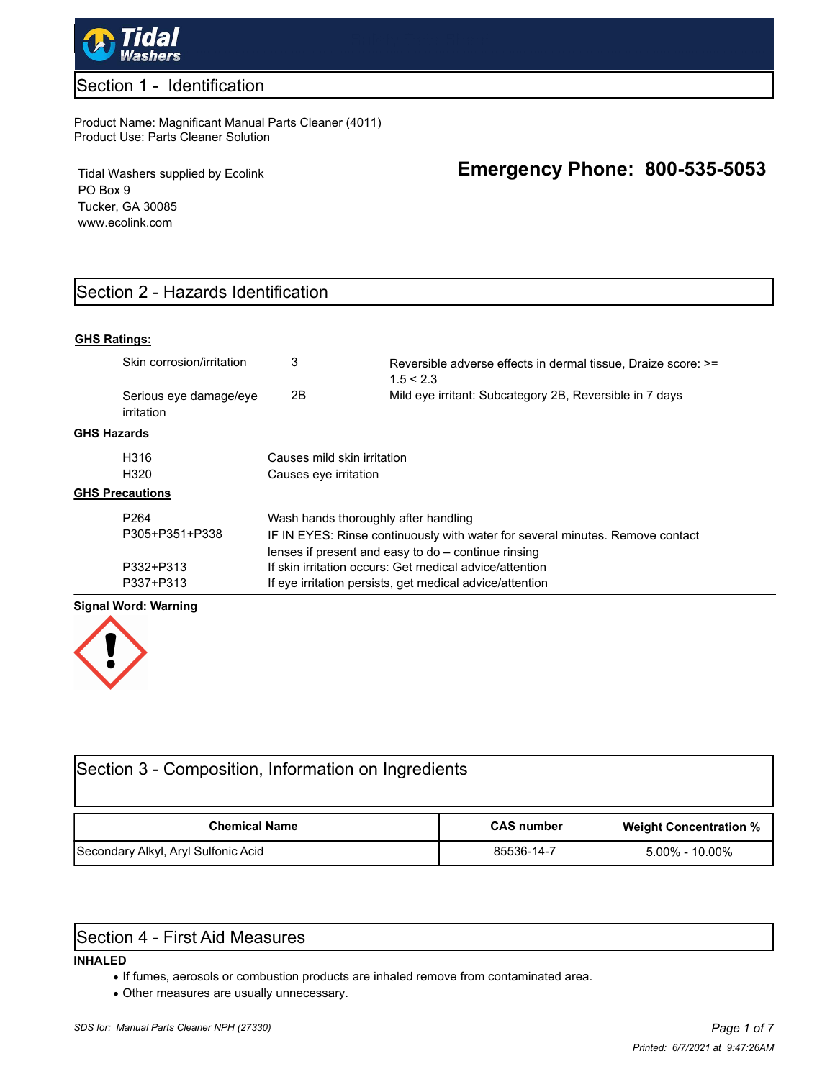

### Section 1 - Identification

#### Product Name: Magnificant Manual Parts Cleaner (4011) Product Use: Parts Cleaner Solution

Tidal Washers supplied by Ecolink PO Box 9 Tucker, GA 30085 www.ecolink.com

# **Emergency Phone: 800-535-5053**

# Section 2 - Hazards Identification

#### **GHS Ratings:**

|                        | Skin corrosion/irritation            | 3                                                                                                                                      | Reversible adverse effects in dermal tissue. Draize score: >=<br>1.5 < 2.3 |  |
|------------------------|--------------------------------------|----------------------------------------------------------------------------------------------------------------------------------------|----------------------------------------------------------------------------|--|
|                        | Serious eye damage/eye<br>irritation | 2B                                                                                                                                     | Mild eye irritant: Subcategory 2B, Reversible in 7 days                    |  |
| GHS Hazards            |                                      |                                                                                                                                        |                                                                            |  |
|                        | H316<br>H320                         | Causes mild skin irritation<br>Causes eye irritation                                                                                   |                                                                            |  |
| <b>GHS Precautions</b> |                                      |                                                                                                                                        |                                                                            |  |
|                        | P <sub>264</sub>                     | Wash hands thoroughly after handling                                                                                                   |                                                                            |  |
|                        | P305+P351+P338                       | IF IN EYES: Rinse continuously with water for several minutes. Remove contact<br>lenses if present and easy to $do$ – continue rinsing |                                                                            |  |
|                        | P332+P313                            | If skin irritation occurs: Get medical advice/attention                                                                                |                                                                            |  |
|                        | P337+P313                            | If eye irritation persists, get medical advice/attention                                                                               |                                                                            |  |

#### **Signal Word: Warning**



| Section 3 - Composition, Information on Ingredients |                   |                               |  |  |  |  |  |
|-----------------------------------------------------|-------------------|-------------------------------|--|--|--|--|--|
| <b>Chemical Name</b>                                | <b>CAS number</b> | <b>Weight Concentration %</b> |  |  |  |  |  |
| Secondary Alkyl, Aryl Sulfonic Acid                 | 85536-14-7        | $5.00\%$ - 10.00%             |  |  |  |  |  |

### Section 4 - First Aid Measures

#### **INHALED**

- · If fumes, aerosols or combustion products are inhaled remove from contaminated area.
- · Other measures are usually unnecessary.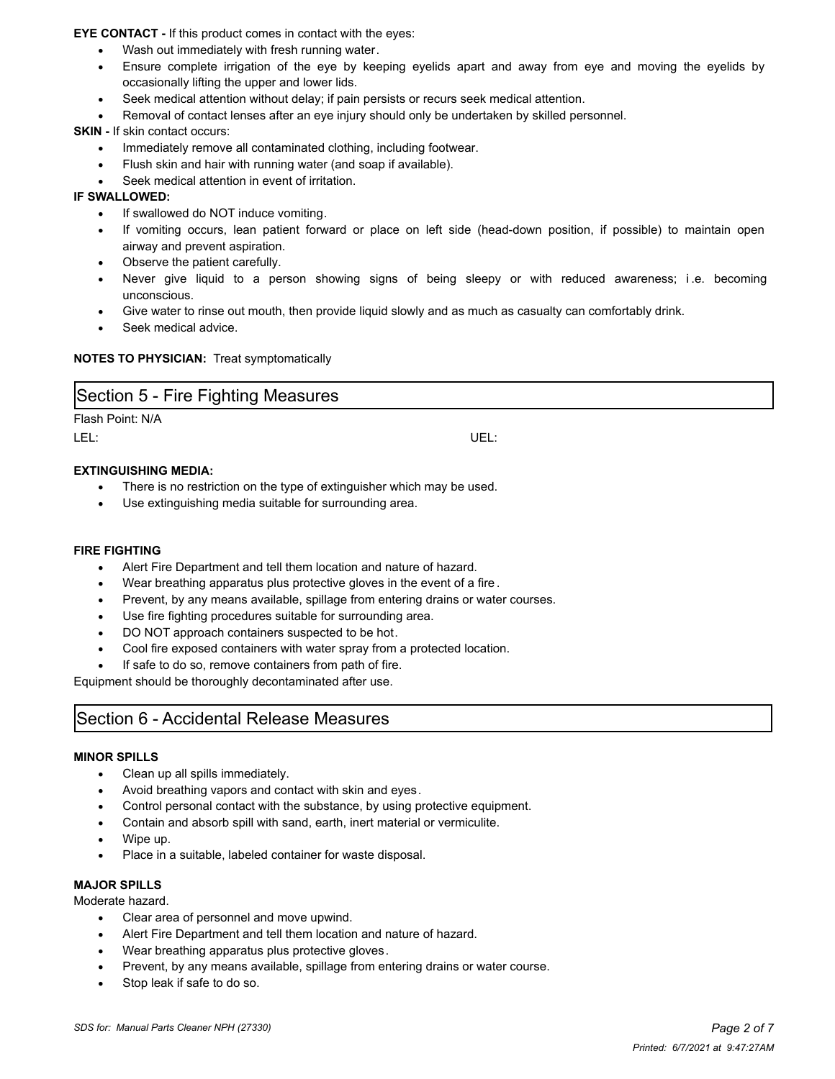**EYE CONTACT -** If this product comes in contact with the eyes:

- Wash out immediately with fresh running water.
- · Ensure complete irrigation of the eye by keeping eyelids apart and away from eye and moving the eyelids by occasionally lifting the upper and lower lids.
- Seek medical attention without delay; if pain persists or recurs seek medical attention.
- Removal of contact lenses after an eye injury should only be undertaken by skilled personnel.

**SKIN - If skin contact occurs:** 

- Immediately remove all contaminated clothing, including footwear.
- Flush skin and hair with running water (and soap if available).
- Seek medical attention in event of irritation.

#### **IF SWALLOWED:**

- If swallowed do NOT induce vomiting.
- · If vomiting occurs, lean patient forward or place on left side (head-down position, if possible) to maintain open airway and prevent aspiration.
- Observe the patient carefully.
- Never give liquid to a person showing signs of being sleepy or with reduced awareness; i.e. becoming unconscious.
- Give water to rinse out mouth, then provide liquid slowly and as much as casualty can comfortably drink.

Seek medical advice.

#### **NOTES TO PHYSICIAN:** Treat symptomatically

### Section 5 - Fire Fighting Measures

#### Flash Point: N/A

LEL: UEL:

#### **EXTINGUISHING MEDIA:**

- There is no restriction on the type of extinguisher which may be used.
- Use extinguishing media suitable for surrounding area.

#### **FIRE FIGHTING**

- Alert Fire Department and tell them location and nature of hazard.
- Wear breathing apparatus plus protective gloves in the event of a fire.
- Prevent, by any means available, spillage from entering drains or water courses.
- Use fire fighting procedures suitable for surrounding area.
- DO NOT approach containers suspected to be hot.
- Cool fire exposed containers with water spray from a protected location.
- If safe to do so, remove containers from path of fire.

Equipment should be thoroughly decontaminated after use.

# Section 6 - Accidental Release Measures

#### **MINOR SPILLS**

- · Clean up all spills immediately.
- Avoid breathing vapors and contact with skin and eyes.
- · Control personal contact with the substance, by using protective equipment.
- Contain and absorb spill with sand, earth, inert material or vermiculite.
- · Wipe up.
- Place in a suitable, labeled container for waste disposal.

#### **MAJOR SPILLS**

Moderate hazard.

- · Clear area of personnel and move upwind.
- Alert Fire Department and tell them location and nature of hazard.
- Wear breathing apparatus plus protective gloves.
- Prevent, by any means available, spillage from entering drains or water course.
- Stop leak if safe to do so.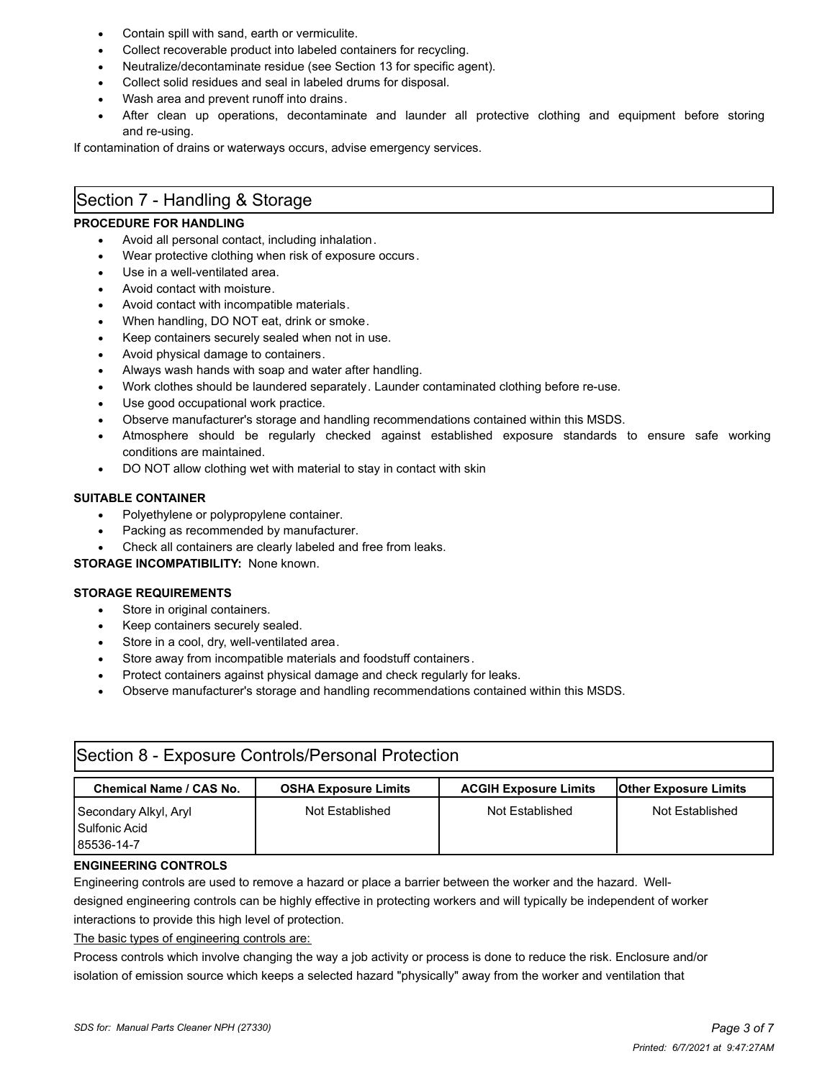- Contain spill with sand, earth or vermiculite.
- Collect recoverable product into labeled containers for recycling.
- · Neutralize/decontaminate residue (see Section 13 for specific agent).
- Collect solid residues and seal in labeled drums for disposal.
- Wash area and prevent runoff into drains.
- After clean up operations, decontaminate and launder all protective clothing and equipment before storing and re-using.

If contamination of drains or waterways occurs, advise emergency services.

# Section 7 - Handling & Storage

#### **PROCEDURE FOR HANDLING**

- Avoid all personal contact, including inhalation.
- Wear protective clothing when risk of exposure occurs.
- Use in a well-ventilated area.
- · Avoid contact with moisture.
- Avoid contact with incompatible materials.
- When handling, DO NOT eat, drink or smoke.
- Keep containers securely sealed when not in use.
- Avoid physical damage to containers.
- Always wash hands with soap and water after handling.
- · Work clothes should be laundered separately. Launder contaminated clothing before re-use.
- Use good occupational work practice.
- · Observe manufacturer's storage and handling recommendations contained within this MSDS.
- Atmosphere should be regularly checked against established exposure standards to ensure safe working conditions are maintained.
- · DO NOT allow clothing wet with material to stay in contact with skin

#### **SUITABLE CONTAINER**

- Polyethylene or polypropylene container.
- Packing as recommended by manufacturer.
- Check all containers are clearly labeled and free from leaks.

#### **STORAGE INCOMPATIBILITY:** None known.

#### **STORAGE REQUIREMENTS**

- · Store in original containers.
- Keep containers securely sealed.
- Store in a cool, dry, well-ventilated area.
- Store away from incompatible materials and foodstuff containers.
- Protect containers against physical damage and check regularly for leaks.
- · Observe manufacturer's storage and handling recommendations contained within this MSDS.

| Section 8 - Exposure Controls/Personal Protection    |                             |                              |                              |  |  |  |  |
|------------------------------------------------------|-----------------------------|------------------------------|------------------------------|--|--|--|--|
| <b>Chemical Name / CAS No.</b>                       | <b>OSHA Exposure Limits</b> | <b>ACGIH Exposure Limits</b> | <b>Other Exposure Limits</b> |  |  |  |  |
| Secondary Alkyl, Aryl<br>Sulfonic Acid<br>85536-14-7 | Not Established             | Not Established              | Not Established              |  |  |  |  |

#### **ENGINEERING CONTROLS**

Engineering controls are used to remove a hazard or place a barrier between the worker and the hazard. Well-

designed engineering controls can be highly effective in protecting workers and will typically be independent of worker interactions to provide this high level of protection.

The basic types of engineering controls are:

Process controls which involve changing the way a job activity or process is done to reduce the risk. Enclosure and/or isolation of emission source which keeps a selected hazard "physically" away from the worker and ventilation that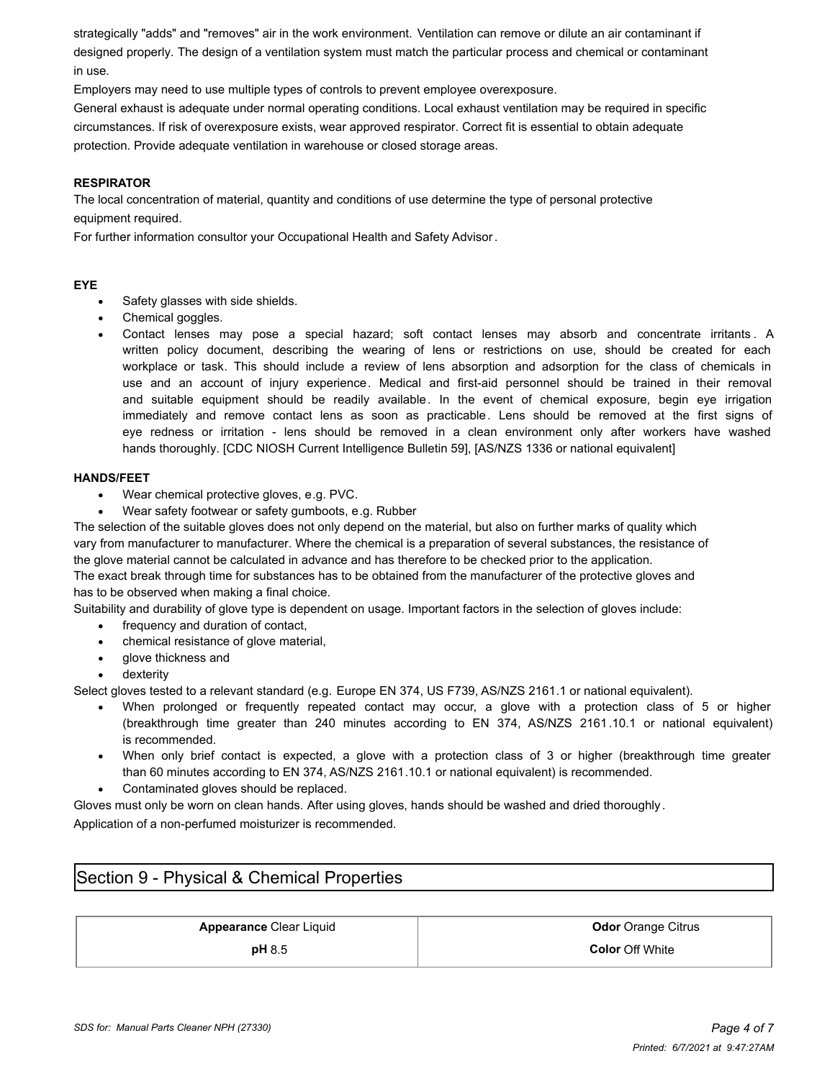strategically "adds" and "removes" air in the work environment. Ventilation can remove or dilute an air contaminant if designed properly. The design of a ventilation system must match the particular process and chemical or contaminant in use.

Employers may need to use multiple types of controls to prevent employee overexposure.

General exhaust is adequate under normal operating conditions. Local exhaust ventilation may be required in specific circumstances. If risk of overexposure exists, wear approved respirator. Correct fit is essential to obtain adequate protection. Provide adequate ventilation in warehouse or closed storage areas.

#### **RESPIRATOR**

The local concentration of material, quantity and conditions of use determine the type of personal protective equipment required.

For further information consultor your Occupational Health and Safety Advisor.

#### **EYE**

- Safety glasses with side shields.
- Chemical goggles.
- · Contact lenses may pose a special hazard; soft contact lenses may absorb and concentrate irritants . A written policy document, describing the wearing of lens or restrictions on use, should be created for each workplace or task. This should include a review of lens absorption and adsorption for the class of chemicals in use and an account of injury experience. Medical and first-aid personnel should be trained in their removal and suitable equipment should be readily available. In the event of chemical exposure, begin eye irrigation immediately and remove contact lens as soon as practicable. Lens should be removed at the first signs of eye redness or irritation - lens should be removed in a clean environment only after workers have washed hands thoroughly. [CDC NIOSH Current Intelligence Bulletin 59], [AS/NZS 1336 or national equivalent]

#### **HANDS/FEET**

- Wear chemical protective gloves, e.g. PVC.
- Wear safety footwear or safety gumboots, e.g. Rubber

The selection of the suitable gloves does not only depend on the material, but also on further marks of quality which vary from manufacturer to manufacturer. Where the chemical is a preparation of several substances, the resistance of the glove material cannot be calculated in advance and has therefore to be checked prior to the application.

The exact break through time for substances has to be obtained from the manufacturer of the protective gloves and has to be observed when making a final choice.

Suitability and durability of glove type is dependent on usage. Important factors in the selection of gloves include:

- frequency and duration of contact,
- chemical resistance of glove material,
- · glove thickness and
- dexterity

Select gloves tested to a relevant standard (e.g. Europe EN 374, US F739, AS/NZS 2161.1 or national equivalent).

- When prolonged or frequently repeated contact may occur, a glove with a protection class of 5 or higher (breakthrough time greater than 240 minutes according to EN 374, AS/NZS 2161.10.1 or national equivalent) is recommended.
- · When only brief contact is expected, a glove with a protection class of 3 or higher (breakthrough time greater than 60 minutes according to EN 374, AS/NZS 2161.10.1 or national equivalent) is recommended.
- Contaminated gloves should be replaced.

Gloves must only be worn on clean hands. After using gloves, hands should be washed and dried thoroughly . Application of a non-perfumed moisturizer is recommended.

# Section 9 - Physical & Chemical Properties

**Appearance** Clear Liquid **Clear Liquid Clear Clear Liquid Clear Clear Clear Clear Clear Clear Clear Clear Clear Clear Clear Clear Clear Clear Clear Clear Clear Clear Clear Clear Clear Clear Clear Clear Clear Clear Clear C pH** 8.5 **Color** Off White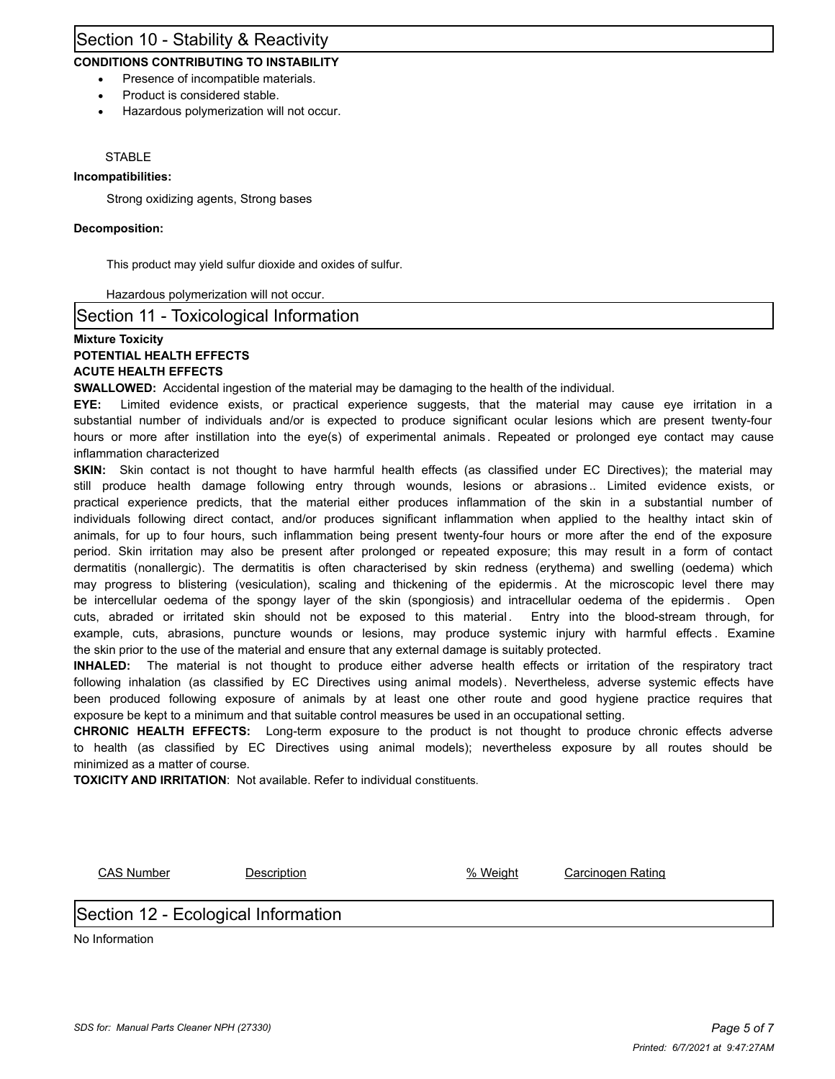### Section 10 - Stability & Reactivity

### **CONDITIONS CONTRIBUTING TO INSTABILITY**

- Presence of incompatible materials.
- Product is considered stable.
- · Hazardous polymerization will not occur.

#### **STABLE**

#### **Incompatibilities:**

Strong oxidizing agents, Strong bases

#### **Decomposition:**

This product may yield sulfur dioxide and oxides of sulfur.

Hazardous polymerization will not occur.

#### Section 11 - Toxicological Information

#### **Mixture Toxicity POTENTIAL HEALTH EFFECTS ACUTE HEALTH EFFECTS**

**SWALLOWED:** Accidental ingestion of the material may be damaging to the health of the individual.

**EYE:** Limited evidence exists, or practical experience suggests, that the material may cause eye irritation in a substantial number of individuals and/or is expected to produce significant ocular lesions which are present twenty-four hours or more after instillation into the eye(s) of experimental animals. Repeated or prolonged eye contact may cause inflammation characterized

**SKIN:** Skin contact is not thought to have harmful health effects (as classified under EC Directives); the material may still produce health damage following entry through wounds, lesions or abrasions .. Limited evidence exists, or practical experience predicts, that the material either produces inflammation of the skin in a substantial number of individuals following direct contact, and/or produces significant inflammation when applied to the healthy intact skin of animals, for up to four hours, such inflammation being present twenty-four hours or more after the end of the exposure period. Skin irritation may also be present after prolonged or repeated exposure; this may result in a form of contact dermatitis (nonallergic). The dermatitis is often characterised by skin redness (erythema) and swelling (oedema) which may progress to blistering (vesiculation), scaling and thickening of the epidermis . At the microscopic level there may be intercellular oedema of the spongy layer of the skin (spongiosis) and intracellular oedema of the epidermis . Open cuts, abraded or irritated skin should not be exposed to this material. Entry into the blood-stream through, for example, cuts, abrasions, puncture wounds or lesions, may produce systemic injury with harmful effects . Examine the skin prior to the use of the material and ensure that any external damage is suitably protected.

**INHALED:** The material is not thought to produce either adverse health effects or irritation of the respiratory tract following inhalation (as classified by EC Directives using animal models). Nevertheless, adverse systemic effects have been produced following exposure of animals by at least one other route and good hygiene practice requires that exposure be kept to a minimum and that suitable control measures be used in an occupational setting.

**CHRONIC HEALTH EFFECTS:** Long-term exposure to the product is not thought to produce chronic effects adverse to health (as classified by EC Directives using animal models); nevertheless exposure by all routes should be minimized as a matter of course.

**TOXICITY AND IRRITATION**: Not available. Refer to individual constituents.

CAS Number Description % Weight Carcinogen Rating

### Section 12 - Ecological Information

No Information